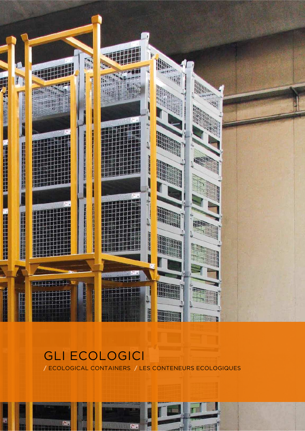

# GLI ECOLOGICI **/** ECOLOGICAL CONTAINERS **/** LES CONTENEURS ECOLOGIQUES

63

60

T

**Accept 19**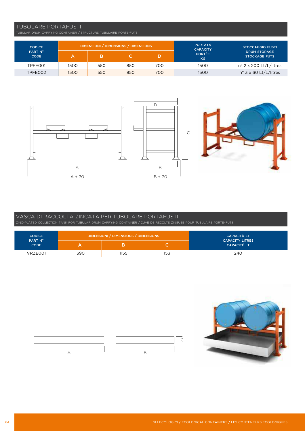## TUBOLARE PORTAFUSTI

| <b>CODICE</b>          |      |     | DIMENSIONI / DIMENSIONS / DIMENSIONS |     | <b>PORTATA</b><br><b>CAPACITY</b> | <b>STOCCAGGIO FUSTI</b>                     |
|------------------------|------|-----|--------------------------------------|-----|-----------------------------------|---------------------------------------------|
| PART N°<br><b>CODE</b> |      | в   |                                      |     | <b>PORTÉE</b><br><b>KG</b>        | <b>DRUM STORAGE</b><br><b>STOCKAGE FUTS</b> |
| TPFE001                | 1500 | 550 | 850                                  | 700 | 1500                              | $n^{\circ}$ 2 x 200 Lt/L/litres             |
| TPFE002                | 1500 | 550 | 850                                  | 700 | 1500                              | $n^{\circ}$ 3 x 60 Lt/L/litres              |



## VASCA DI RACCOLTA ZINCATA PER TUBOLARE PORTAFUSTI

ZINC-PLATED COLLECTION TANK FOR TUBULAR DRUM CARRYING CONTAINER / CUVE DE RECOLTE ZINGUEE POUR TUBULAIRE PORTE-FUTS

| <b>CODICE</b>          | DIMENSIONI / DIMENSIONS / DIMENSIONS | CAPACITÀ LT |     |                                              |
|------------------------|--------------------------------------|-------------|-----|----------------------------------------------|
| PART N°<br><b>CODE</b> |                                      |             |     | <b>CAPACITY LITRES</b><br><b>CAPACITÉ LT</b> |
| VRZE001                | 1390                                 | 1155        | 153 | 240                                          |



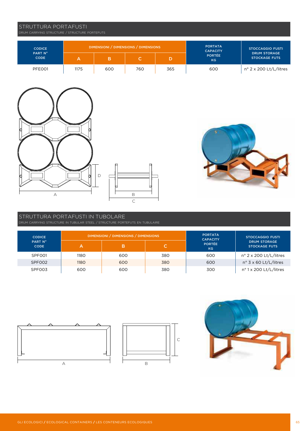GLI ECOLOGICI **/** ECOLOGICAL CONTAINERS **/** LES CONTENEURS ECOLOGIQUES 65

# DRUM CARRYING STRUCTURE / STRUCTURE PORTEFUTS

STRUTTURA PORTAFUSTI

| <b>CODICE</b><br>PART N° |      | DIMENSIONI / DIMENSIONS / DIMENSIONS |     | <b>PORTATA</b><br><b>CAPACITY</b> | <b>STOCCAGGIO FUSTI</b>    |                                             |
|--------------------------|------|--------------------------------------|-----|-----------------------------------|----------------------------|---------------------------------------------|
| <b>CODE</b>              |      |                                      |     |                                   | <b>PORTÉE</b><br><b>KG</b> | <b>DRUM STORAGE</b><br><b>STOCKAGE FUTS</b> |
| PFE001                   | 1175 | 600                                  | 760 | 365                               | 600                        | n° 2 x 200 Lt/L/litres                      |







# STRUTTURA PORTAFUSTI IN TUBOLARE

| <b>CODICE</b>          | DIMENSIONI / DIMENSIONS / DIMENSIONS | <b>PORTATA</b><br><b>CAPACITY</b> | <b>STOCCAGGIO FUSTI</b> |                            |                                             |
|------------------------|--------------------------------------|-----------------------------------|-------------------------|----------------------------|---------------------------------------------|
| PART N°<br><b>CODE</b> |                                      | в                                 |                         | <b>PORTÉE</b><br><b>KG</b> | <b>DRUM STORAGE</b><br><b>STOCKAGE FUTS</b> |
| SPF001                 | 1180                                 | 600                               | 380                     | 600                        | $n^{\circ}$ 2 x 200 Lt/L/litres             |
| SPF002                 | 1180                                 | 600                               | 380                     | 600                        | $n^{\circ}$ 3 x 60 Lt/L/litres              |
| SPF003                 | 600                                  | 600                               | 380                     | 300                        | nº 1 x 200 Lt/L/litres                      |





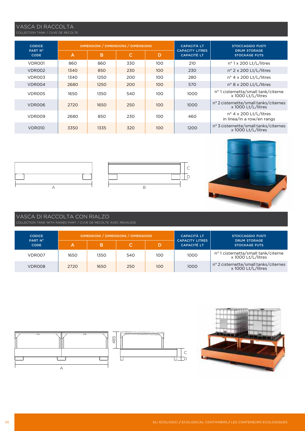# VASCA DI RACCOLTA

| <b>CODICE</b>          |      |      | DIMENSIONI / DIMENSIONS / DIMENSIONS |     | <b>CAPACITÀ LT</b>                           | <b>STOCCAGGIO FUSTI</b>                                       |
|------------------------|------|------|--------------------------------------|-----|----------------------------------------------|---------------------------------------------------------------|
| PART N°<br><b>CODE</b> | A    | в    | C                                    | D   | <b>CAPACITY LITRES</b><br><b>CAPACITÉ LT</b> | <b>DRUM STORAGE</b><br><b>STOCKAGE FUTS</b>                   |
| VDR001                 | 860  | 860  | 330                                  | 100 | 210                                          | nº 1 x 200 Lt/L/litres                                        |
| VDR002                 | 1340 | 850  | 230                                  | 100 | 230                                          | $n^{\circ}$ 2 x 200 Lt/L/litres                               |
| VDR003                 | 1340 | 1250 | 200                                  | 100 | 280                                          | $n^{\circ}$ 4 x 200 Lt/L/litres                               |
| VDR004                 | 2680 | 1250 | 200                                  | 100 | 570                                          | $n^{\circ}$ 8 x 200 Lt/L/litres                               |
| VDR005                 | 1650 | 1350 | 540                                  | 100 | 1000                                         | nº 1 cisternetta/small tank/citerne<br>x 1000 Lt/L/litres     |
| VDR006                 | 2720 | 1650 | 250                                  | 100 | 1000                                         | nº 2 cisternette/small tanks/citernes<br>x 1000 Lt/L/litres   |
| VDR009                 | 2680 | 850  | 230                                  | 100 | 460                                          | $n^{\circ}$ 4 x 200 Lt/L/litres<br>in linea/in a row/en rangs |
| VDR010                 | 3350 | 1335 | 320                                  | 100 | 1200                                         | n° 3 cisternette/small tanks/citernes<br>x 1000 Lt/L/litres   |

C D

 $|c|$ 

dib





## VASCA DI RACCOLTA CON RIALZO

| <b>CODICE</b>          |      | DIMENSIONI / DIMENSIONS / DIMENSIONS |     | <b>CAPACITÀ LT</b> | <b>STOCCAGGIO FUSTI</b>                      |                                                             |
|------------------------|------|--------------------------------------|-----|--------------------|----------------------------------------------|-------------------------------------------------------------|
| PART N°<br><b>CODE</b> |      |                                      |     | D                  | <b>CAPACITY LITRES</b><br><b>CAPACITÉ LT</b> | <b>DRUM STORAGE</b><br><b>STOCKAGE FUTS</b>                 |
| VDR007                 | 1650 | 1350                                 | 540 | 100                | 1000                                         | nº 1 cisternetta/small tank/citerne<br>x 1000 Lt/L/litres   |
| VDR008                 | 2720 | 1650                                 | 250 | 100                | 1000                                         | n° 2 cisternette/small tanks/citernes<br>x 1000 Lt/L/litres |



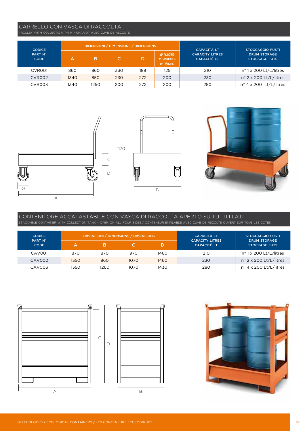## CARRELLO CON VASCA DI RACCOLTA

TROLLEY WITH COLLECTION TANK / CHARIOT AVEC CUVE DE RECOLTE

| <b>CODICE</b>          |      | DIMENSIONI / DIMENSIONS / DIMENSIONS |     |     | <b>CAPACITÀ LT</b>             | <b>STOCCAGGIO FUSTI</b>                      |                                             |
|------------------------|------|--------------------------------------|-----|-----|--------------------------------|----------------------------------------------|---------------------------------------------|
| PART Nº<br><b>CODE</b> | А    | в                                    | C'  | D   | Ø RUOTE<br>Ø WHEELS<br>Ø RÄDER | <b>CAPACITY LITRES</b><br><b>CAPACITÉ LT</b> | <b>DRUM STORAGE</b><br><b>STOCKAGE FUTS</b> |
| CVR001                 | 860  | 860                                  | 330 | 188 | 125                            | 210                                          | nº 1 x 200 Lt/L/litres                      |
| CVR002                 | 1340 | 850                                  | 230 | 272 | 200                            | 230                                          | n° 2 x 200 Lt/L/litres                      |
| CVR003                 | 1340 | 1250                                 | 200 | 272 | 200                            | 280                                          | nº 4 x 200 Lt/L/litres                      |





# CONTENITORE ACCATASTABILE CON VASCA DI RACCOLTA APERTO SU TUTTI I LATI

| <b>CODICE</b>          |      | DIMENSIONI / DIMENSIONS / DIMENSIONS |      | <b>CAPACITÀ LT</b> | <b>STOCCAGGIO FUSTI</b>                      |                                             |
|------------------------|------|--------------------------------------|------|--------------------|----------------------------------------------|---------------------------------------------|
| PART N°<br><b>CODE</b> | А    | в                                    |      | D.                 | <b>CAPACITY LITRES</b><br><b>CAPACITÉ LT</b> | <b>DRUM STORAGE</b><br><b>STOCKAGE FUTS</b> |
| CAV001                 | 870  | 870                                  | 970  | 1460               | 210                                          | nº 1 x 200 Lt/L/litres                      |
| CAV002                 | 1350 | 860                                  | 1070 | 1460               | 230                                          | $n^{\circ}$ 2 x 200 Lt/L/litres             |
| CAV003                 | 1350 | 1260                                 | 1070 | 1430               | 280                                          | $n^{\circ}$ 4 x 200 Lt/L/litres             |



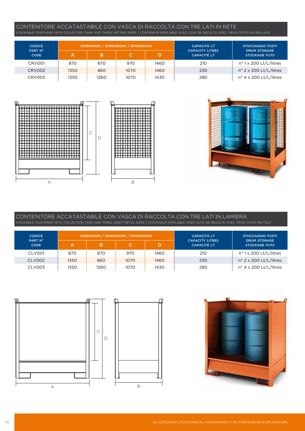# CONTENITORE ACCATASTABILE CON VASCA DI RACCOLTA CON TRE LATI IN RETE

| <b>CODICE</b>          |      |      | DIMENSIONI / DIMENSIONS / DIMENSIONS |      | <b>CAPACITÀ LT</b>                           | <b>STOCCAGGIO FUSTI</b>                     |
|------------------------|------|------|--------------------------------------|------|----------------------------------------------|---------------------------------------------|
| PART N°<br><b>CODE</b> | А    | в    |                                      |      | <b>CAPACITY LITRES</b><br><b>CAPACITÉ LT</b> | <b>DRUM STORAGE</b><br><b>STOCKAGE FUTS</b> |
| CRV001                 | 870  | 870  | 970                                  | 1460 | 210                                          | $n^{\circ}$ 1 x 200 Lt/L/litres             |
| CRV002                 | 1350 | 860  | 1070                                 | 1460 | 230                                          | $n^{\circ}$ 2 x 200 Lt/L/litres             |
| CRV003                 | 1350 | 1260 | 1070                                 | 1430 | 280                                          | $n^{\circ}$ 4 x 200 Lt/L/litres             |





### CONTENITORE ACCATASTABILE CON VASCA DI RACCOLTA CON TRE LATI IN LAMIERA STACKABLE CONTAINER WITH COLLECTION TANK AND THREE SHEET METAL SIDES / CONTENEUR ENPILABLE AVEC CUVE DE RECOLTE AVEC TROIS COTES EN TOLE

| <b>CODICE</b>          |      |      | DIMENSIONI / DIMENSIONS / DIMENSIONS | <b>CAPACITÀ LT</b> | <b>STOCCAGGIO FUSTI</b>                      |                                             |
|------------------------|------|------|--------------------------------------|--------------------|----------------------------------------------|---------------------------------------------|
| PART N°<br><b>CODE</b> | A.   | B    |                                      |                    | <b>CAPACITY LITRES</b><br><b>CAPACITÉ LT</b> | <b>DRUM STORAGE</b><br><b>STOCKAGE FUTS</b> |
| CLV001                 | 870  | 870  | 970                                  | 1460               | 210                                          | nº 1 x 200 Lt/L/litres                      |
| CLV002                 | 1350 | 860  | 1070                                 | 1460               | 230                                          | $n^{\circ}$ 2 x 200 Lt/L/litres             |
| CLV003                 | 1350 | 1260 | 1070                                 | 1430               | 280                                          | $n^{\circ}$ 4 x 200 Lt/L/litres             |